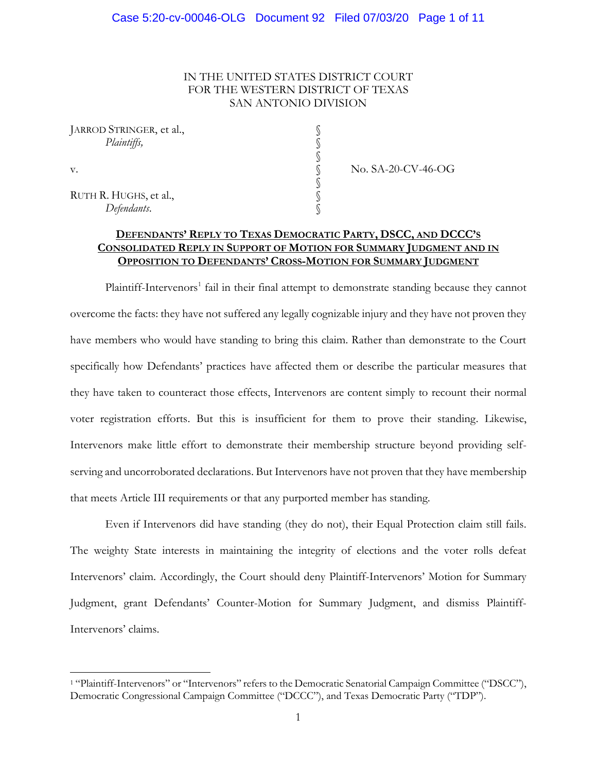### IN THE UNITED STATES DISTRICT COURT FOR THE WESTERN DISTRICT OF TEXAS SAN ANTONIO DIVISION

§

§

| JARROD STRINGER, et al., |  |
|--------------------------|--|
| Plaintiffs,              |  |

RUTH R. HUGHS, et al., *Defendants*. §

v. SA-20-CV-46-OG

# **DEFENDANTS' REPLY TO TEXAS DEMOCRATIC PARTY, DSCC, AND DCCC'S CONSOLIDATED REPLY IN SUPPORT OF MOTION FOR SUMMARY JUDGMENT AND IN OPPOSITION TO DEFENDANTS' CROSS-MOTION FOR SUMMARY JUDGMENT**

Plaintiff-Intervenors<sup>1</sup> fail in their final attempt to demonstrate standing because they cannot overcome the facts: they have not suffered any legally cognizable injury and they have not proven they have members who would have standing to bring this claim. Rather than demonstrate to the Court specifically how Defendants' practices have affected them or describe the particular measures that they have taken to counteract those effects, Intervenors are content simply to recount their normal voter registration efforts. But this is insufficient for them to prove their standing. Likewise, Intervenors make little effort to demonstrate their membership structure beyond providing selfserving and uncorroborated declarations. But Intervenors have not proven that they have membership that meets Article III requirements or that any purported member has standing.

Even if Intervenors did have standing (they do not), their Equal Protection claim still fails. The weighty State interests in maintaining the integrity of elections and the voter rolls defeat Intervenors' claim. Accordingly, the Court should deny Plaintiff-Intervenors' Motion for Summary Judgment, grant Defendants' Counter-Motion for Summary Judgment, and dismiss Plaintiff-Intervenors' claims.

<sup>1</sup> "Plaintiff-Intervenors" or "Intervenors" refers to the Democratic Senatorial Campaign Committee ("DSCC"), Democratic Congressional Campaign Committee ("DCCC"), and Texas Democratic Party ("TDP").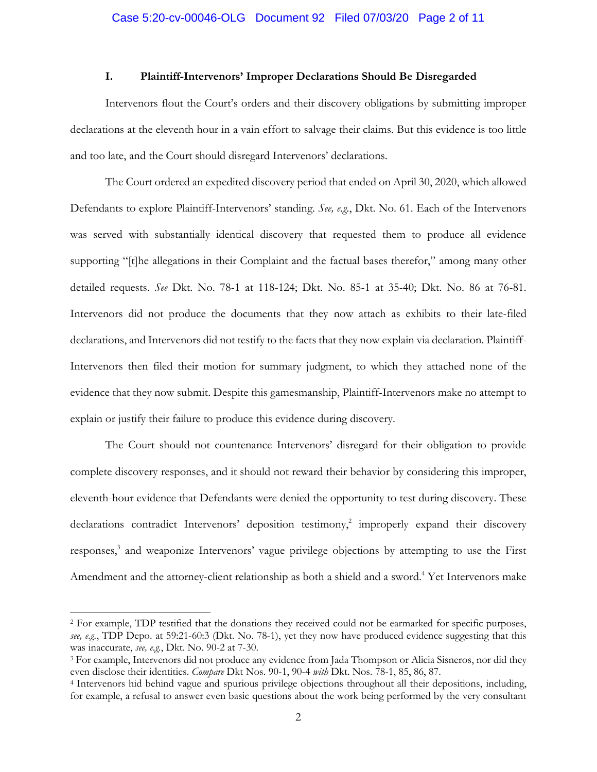### **I. Plaintiff-Intervenors' Improper Declarations Should Be Disregarded**

Intervenors flout the Court's orders and their discovery obligations by submitting improper declarations at the eleventh hour in a vain effort to salvage their claims. But this evidence is too little and too late, and the Court should disregard Intervenors' declarations.

The Court ordered an expedited discovery period that ended on April 30, 2020, which allowed Defendants to explore Plaintiff-Intervenors' standing. *See, e.g.*, Dkt. No. 61. Each of the Intervenors was served with substantially identical discovery that requested them to produce all evidence supporting "[t]he allegations in their Complaint and the factual bases therefor," among many other detailed requests. *See* Dkt. No. 78-1 at 118-124; Dkt. No. 85-1 at 35-40; Dkt. No. 86 at 76-81. Intervenors did not produce the documents that they now attach as exhibits to their late-filed declarations, and Intervenors did not testify to the facts that they now explain via declaration. Plaintiff-Intervenors then filed their motion for summary judgment, to which they attached none of the evidence that they now submit. Despite this gamesmanship, Plaintiff-Intervenors make no attempt to explain or justify their failure to produce this evidence during discovery.

The Court should not countenance Intervenors' disregard for their obligation to provide complete discovery responses, and it should not reward their behavior by considering this improper, eleventh-hour evidence that Defendants were denied the opportunity to test during discovery. These declarations contradict Intervenors' deposition testimony,<sup>2</sup> improperly expand their discovery responses,<sup>3</sup> and weaponize Intervenors' vague privilege objections by attempting to use the First Amendment and the attorney-client relationship as both a shield and a sword. <sup>4</sup> Yet Intervenors make

<sup>2</sup> For example, TDP testified that the donations they received could not be earmarked for specific purposes, *see, e.g.*, TDP Depo. at 59:21-60:3 (Dkt. No. 78-1), yet they now have produced evidence suggesting that this was inaccurate, *see, e.g.*, Dkt. No. 90-2 at 7-30.

<sup>&</sup>lt;sup>3</sup> For example, Intervenors did not produce any evidence from Jada Thompson or Alicia Sisneros, nor did they even disclose their identities. *Compare* Dkt Nos. 90-1, 90-4 *with* Dkt. Nos. 78-1, 85, 86, 87.

<sup>4</sup> Intervenors hid behind vague and spurious privilege objections throughout all their depositions, including, for example, a refusal to answer even basic questions about the work being performed by the very consultant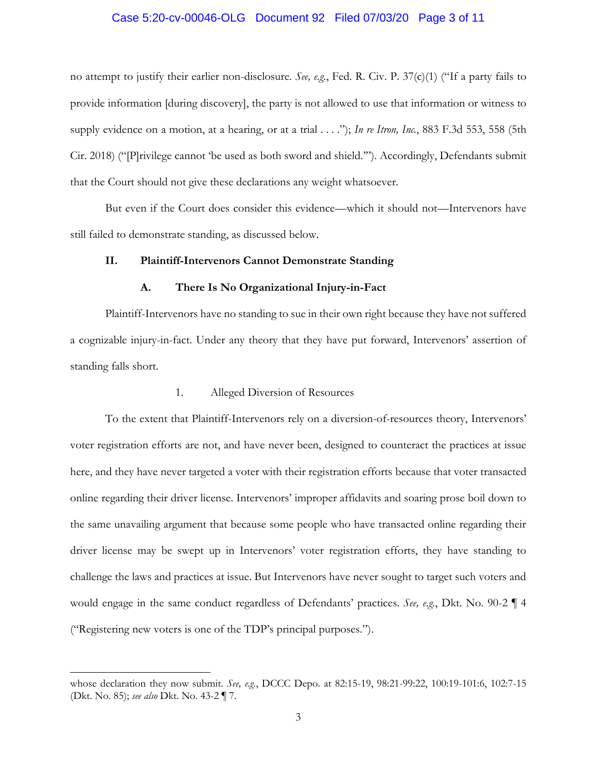# Case 5:20-cv-00046-OLG Document 92 Filed 07/03/20 Page 3 of 11

no attempt to justify their earlier non-disclosure. *See, e.g.*, Fed. R. Civ. P. 37(c)(1) ("If a party fails to provide information [during discovery], the party is not allowed to use that information or witness to supply evidence on a motion, at a hearing, or at a trial . . . ."); *In re Itron, Inc.*, 883 F.3d 553, 558 (5th Cir. 2018) ("[P]rivilege cannot 'be used as both sword and shield.'"). Accordingly, Defendants submit that the Court should not give these declarations any weight whatsoever.

But even if the Court does consider this evidence—which it should not—Intervenors have still failed to demonstrate standing, as discussed below.

#### **II. Plaintiff-Intervenors Cannot Demonstrate Standing**

#### **A. There Is No Organizational Injury-in-Fact**

Plaintiff-Intervenors have no standing to sue in their own right because they have not suffered a cognizable injury-in-fact. Under any theory that they have put forward, Intervenors' assertion of standing falls short.

#### 1. Alleged Diversion of Resources

To the extent that Plaintiff-Intervenors rely on a diversion-of-resources theory, Intervenors' voter registration efforts are not, and have never been, designed to counteract the practices at issue here, and they have never targeted a voter with their registration efforts because that voter transacted online regarding their driver license. Intervenors' improper affidavits and soaring prose boil down to the same unavailing argument that because some people who have transacted online regarding their driver license may be swept up in Intervenors' voter registration efforts, they have standing to challenge the laws and practices at issue. But Intervenors have never sought to target such voters and would engage in the same conduct regardless of Defendants' practices. *See, e.g.*, Dkt. No. 90-2 ¶ 4 ("Registering new voters is one of the TDP's principal purposes.").

whose declaration they now submit. *See, e.g.*, DCCC Depo. at 82:15-19, 98:21-99:22, 100:19-101:6, 102:7-15 (Dkt. No. 85); *see also* Dkt. No. 43-2 ¶ 7.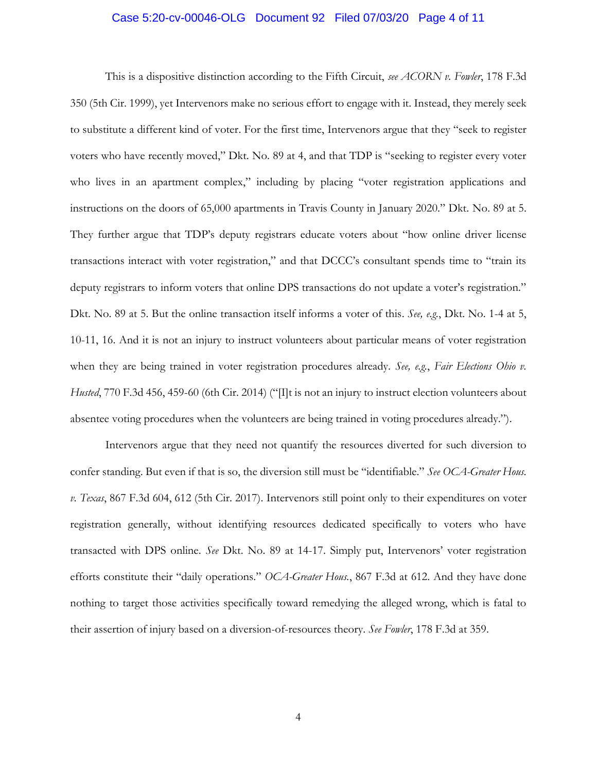### Case 5:20-cv-00046-OLG Document 92 Filed 07/03/20 Page 4 of 11

This is a dispositive distinction according to the Fifth Circuit, *see ACORN v. Fowler*, 178 F.3d 350 (5th Cir. 1999), yet Intervenors make no serious effort to engage with it. Instead, they merely seek to substitute a different kind of voter. For the first time, Intervenors argue that they "seek to register voters who have recently moved," Dkt. No. 89 at 4, and that TDP is "seeking to register every voter who lives in an apartment complex," including by placing "voter registration applications and instructions on the doors of 65,000 apartments in Travis County in January 2020." Dkt. No. 89 at 5. They further argue that TDP's deputy registrars educate voters about "how online driver license transactions interact with voter registration," and that DCCC's consultant spends time to "train its deputy registrars to inform voters that online DPS transactions do not update a voter's registration." Dkt. No. 89 at 5. But the online transaction itself informs a voter of this. *See, e.g.*, Dkt. No. 1-4 at 5, 10-11, 16. And it is not an injury to instruct volunteers about particular means of voter registration when they are being trained in voter registration procedures already. *See, e.g.*, *Fair Elections Ohio v. Husted*, 770 F.3d 456, 459-60 (6th Cir. 2014) ("Ilt is not an injury to instruct election volunteers about absentee voting procedures when the volunteers are being trained in voting procedures already.").

Intervenors argue that they need not quantify the resources diverted for such diversion to confer standing. But even if that is so, the diversion still must be "identifiable." *See OCA-Greater Hous. v. Texas*, 867 F.3d 604, 612 (5th Cir. 2017). Intervenors still point only to their expenditures on voter registration generally, without identifying resources dedicated specifically to voters who have transacted with DPS online. *See* Dkt. No. 89 at 14-17. Simply put, Intervenors' voter registration efforts constitute their "daily operations." *OCA-Greater Hous.*, 867 F.3d at 612. And they have done nothing to target those activities specifically toward remedying the alleged wrong, which is fatal to their assertion of injury based on a diversion-of-resources theory. *See Fowler*, 178 F.3d at 359.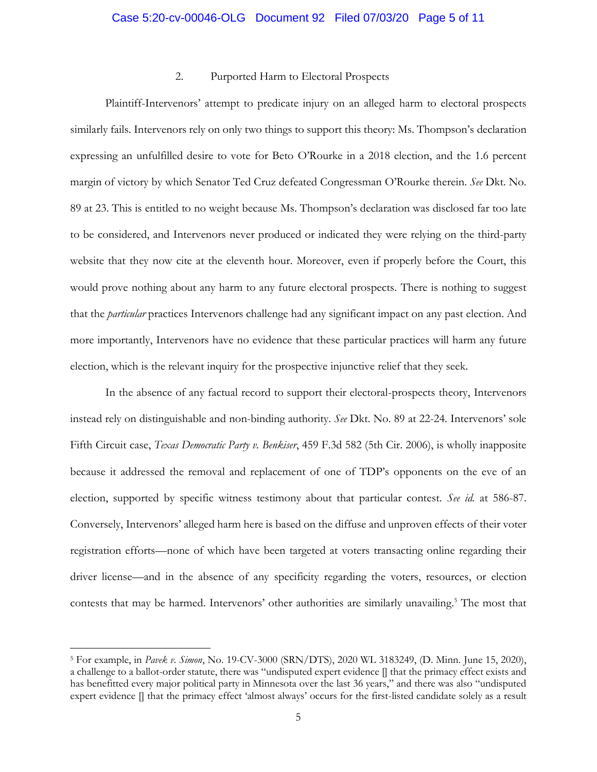### Case 5:20-cv-00046-OLG Document 92 Filed 07/03/20 Page 5 of 11

### 2. Purported Harm to Electoral Prospects

Plaintiff-Intervenors' attempt to predicate injury on an alleged harm to electoral prospects similarly fails. Intervenors rely on only two things to support this theory: Ms. Thompson's declaration expressing an unfulfilled desire to vote for Beto O'Rourke in a 2018 election, and the 1.6 percent margin of victory by which Senator Ted Cruz defeated Congressman O'Rourke therein. *See* Dkt. No. 89 at 23. This is entitled to no weight because Ms. Thompson's declaration was disclosed far too late to be considered, and Intervenors never produced or indicated they were relying on the third-party website that they now cite at the eleventh hour. Moreover, even if properly before the Court, this would prove nothing about any harm to any future electoral prospects. There is nothing to suggest that the *particular* practices Intervenors challenge had any significant impact on any past election. And more importantly, Intervenors have no evidence that these particular practices will harm any future election, which is the relevant inquiry for the prospective injunctive relief that they seek.

In the absence of any factual record to support their electoral-prospects theory, Intervenors instead rely on distinguishable and non-binding authority. *See* Dkt. No. 89 at 22-24. Intervenors' sole Fifth Circuit case, *Texas Democratic Party v. Benkiser*, 459 F.3d 582 (5th Cir. 2006), is wholly inapposite because it addressed the removal and replacement of one of TDP's opponents on the eve of an election, supported by specific witness testimony about that particular contest. *See id.* at 586-87. Conversely, Intervenors' alleged harm here is based on the diffuse and unproven effects of their voter registration efforts—none of which have been targeted at voters transacting online regarding their driver license—and in the absence of any specificity regarding the voters, resources, or election contests that may be harmed. Intervenors' other authorities are similarly unavailing.<sup>5</sup> The most that

<sup>5</sup> For example, in *Pavek v. Simon*, No. 19-CV-3000 (SRN/DTS), 2020 WL 3183249, (D. Minn. June 15, 2020), a challenge to a ballot-order statute, there was "undisputed expert evidence [] that the primacy effect exists and has benefitted every major political party in Minnesota over the last 36 years," and there was also "undisputed expert evidence [] that the primacy effect 'almost always' occurs for the first-listed candidate solely as a result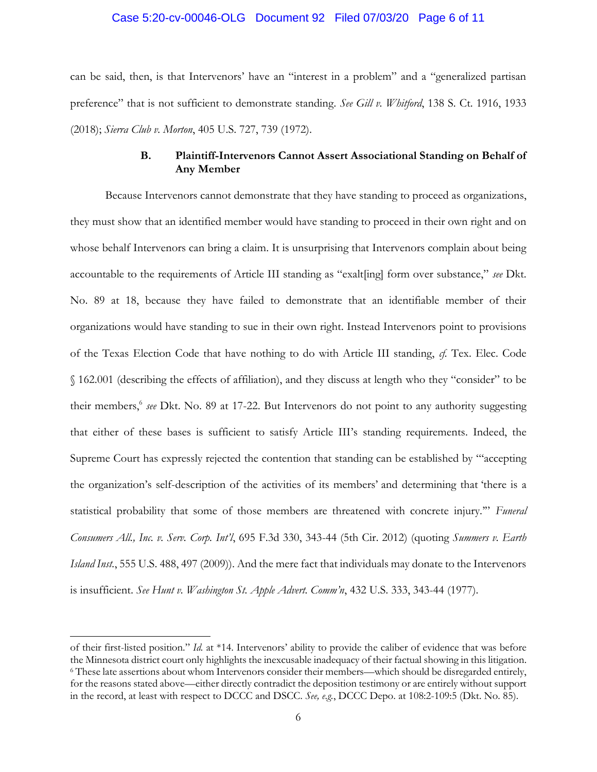### Case 5:20-cv-00046-OLG Document 92 Filed 07/03/20 Page 6 of 11

can be said, then, is that Intervenors' have an "interest in a problem" and a "generalized partisan preference" that is not sufficient to demonstrate standing. *See Gill v. Whitford*, 138 S. Ct. 1916, 1933 (2018); *Sierra Club v. Morton*, 405 U.S. 727, 739 (1972).

# **B. Plaintiff-Intervenors Cannot Assert Associational Standing on Behalf of Any Member**

Because Intervenors cannot demonstrate that they have standing to proceed as organizations, they must show that an identified member would have standing to proceed in their own right and on whose behalf Intervenors can bring a claim. It is unsurprising that Intervenors complain about being accountable to the requirements of Article III standing as "exalt[ing] form over substance," *see* Dkt. No. 89 at 18, because they have failed to demonstrate that an identifiable member of their organizations would have standing to sue in their own right. Instead Intervenors point to provisions of the Texas Election Code that have nothing to do with Article III standing, *cf.* Tex. Elec. Code § 162.001 (describing the effects of affiliation), and they discuss at length who they "consider" to be their members,<sup>6</sup> see Dkt. No. 89 at 17-22. But Intervenors do not point to any authority suggesting that either of these bases is sufficient to satisfy Article III's standing requirements. Indeed, the Supreme Court has expressly rejected the contention that standing can be established by "'accepting the organization's self-description of the activities of its members' and determining that 'there is a statistical probability that some of those members are threatened with concrete injury.'" *Funeral Consumers All., Inc. v. Serv. Corp. Int'l*, 695 F.3d 330, 343-44 (5th Cir. 2012) (quoting *Summers v. Earth Island Inst.*, 555 U.S. 488, 497 (2009)). And the mere fact that individuals may donate to the Intervenors is insufficient. *See Hunt v. Washington St. Apple Advert. Comm'n*, 432 U.S. 333, 343-44 (1977).

of their first-listed position." *Id.* at \*14. Intervenors' ability to provide the caliber of evidence that was before the Minnesota district court only highlights the inexcusable inadequacy of their factual showing in this litigation. <sup>6</sup> These late assertions about whom Intervenors consider their members—which should be disregarded entirely, for the reasons stated above—either directly contradict the deposition testimony or are entirely without support in the record, at least with respect to DCCC and DSCC. *See, e.g.*, DCCC Depo. at 108:2-109:5 (Dkt. No. 85).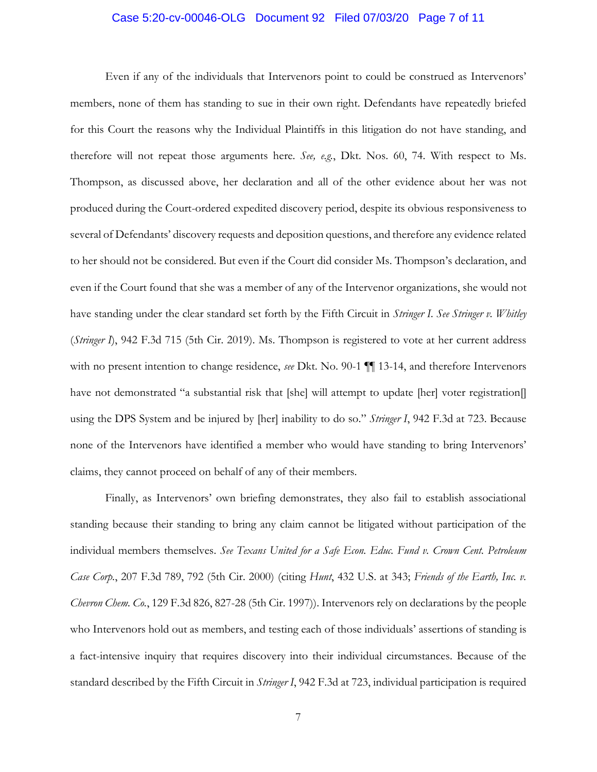# Case 5:20-cv-00046-OLG Document 92 Filed 07/03/20 Page 7 of 11

Even if any of the individuals that Intervenors point to could be construed as Intervenors' members, none of them has standing to sue in their own right. Defendants have repeatedly briefed for this Court the reasons why the Individual Plaintiffs in this litigation do not have standing, and therefore will not repeat those arguments here. *See, e.g.*, Dkt. Nos. 60, 74. With respect to Ms. Thompson, as discussed above, her declaration and all of the other evidence about her was not produced during the Court-ordered expedited discovery period, despite its obvious responsiveness to several of Defendants' discovery requests and deposition questions, and therefore any evidence related to her should not be considered. But even if the Court did consider Ms. Thompson's declaration, and even if the Court found that she was a member of any of the Intervenor organizations, she would not have standing under the clear standard set forth by the Fifth Circuit in *Stringer I*. *See Stringer v. Whitley* (*Stringer I*), 942 F.3d 715 (5th Cir. 2019). Ms. Thompson is registered to vote at her current address with no present intention to change residence, *see* Dkt. No. 90-1 ¶¶ 13-14, and therefore Intervenors have not demonstrated "a substantial risk that [she] will attempt to update [her] voter registration[] using the DPS System and be injured by [her] inability to do so." *Stringer I*, 942 F.3d at 723. Because none of the Intervenors have identified a member who would have standing to bring Intervenors' claims, they cannot proceed on behalf of any of their members.

Finally, as Intervenors' own briefing demonstrates, they also fail to establish associational standing because their standing to bring any claim cannot be litigated without participation of the individual members themselves. *See Texans United for a Safe Econ. Educ. Fund v. Crown Cent. Petroleum Case Corp.*, 207 F.3d 789, 792 (5th Cir. 2000) (citing *Hunt*, 432 U.S. at 343; *Friends of the Earth, Inc. v. Chevron Chem. Co.*, 129 F.3d 826, 827-28 (5th Cir. 1997)). Intervenors rely on declarations by the people who Intervenors hold out as members, and testing each of those individuals' assertions of standing is a fact-intensive inquiry that requires discovery into their individual circumstances. Because of the standard described by the Fifth Circuit in *Stringer I*, 942 F.3d at 723, individual participation is required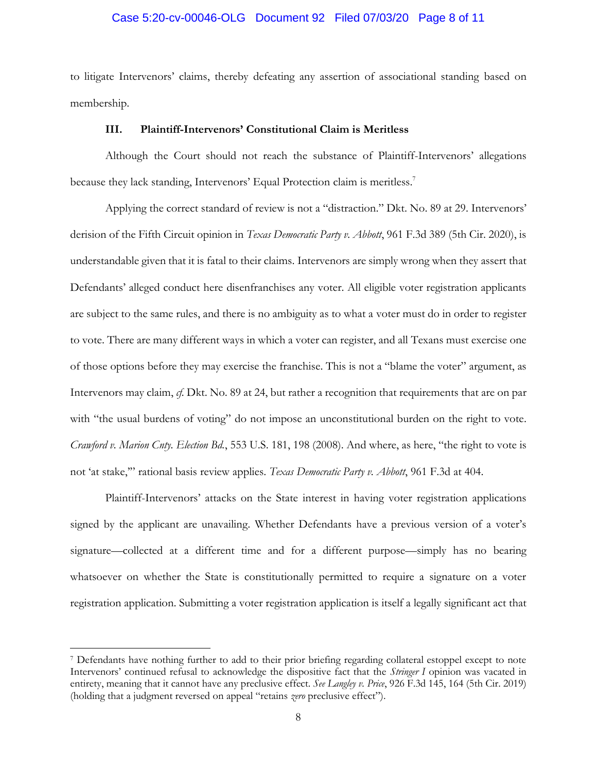### Case 5:20-cv-00046-OLG Document 92 Filed 07/03/20 Page 8 of 11

to litigate Intervenors' claims, thereby defeating any assertion of associational standing based on membership.

#### **III. Plaintiff-Intervenors' Constitutional Claim is Meritless**

Although the Court should not reach the substance of Plaintiff-Intervenors' allegations because they lack standing, Intervenors' Equal Protection claim is meritless.<sup>7</sup>

Applying the correct standard of review is not a "distraction." Dkt. No. 89 at 29. Intervenors' derision of the Fifth Circuit opinion in *Texas Democratic Party v. Abbott*, 961 F.3d 389 (5th Cir. 2020), is understandable given that it is fatal to their claims. Intervenors are simply wrong when they assert that Defendants' alleged conduct here disenfranchises any voter. All eligible voter registration applicants are subject to the same rules, and there is no ambiguity as to what a voter must do in order to register to vote. There are many different ways in which a voter can register, and all Texans must exercise one of those options before they may exercise the franchise. This is not a "blame the voter" argument, as Intervenors may claim, *cf.* Dkt. No. 89 at 24, but rather a recognition that requirements that are on par with "the usual burdens of voting" do not impose an unconstitutional burden on the right to vote. *Crawford v. Marion Cnty. Election Bd.*, 553 U.S. 181, 198 (2008). And where, as here, "the right to vote is not 'at stake,'" rational basis review applies. *Texas Democratic Party v. Abbott*, 961 F.3d at 404.

Plaintiff-Intervenors' attacks on the State interest in having voter registration applications signed by the applicant are unavailing. Whether Defendants have a previous version of a voter's signature—collected at a different time and for a different purpose—simply has no bearing whatsoever on whether the State is constitutionally permitted to require a signature on a voter registration application. Submitting a voter registration application is itself a legally significant act that

<sup>7</sup> Defendants have nothing further to add to their prior briefing regarding collateral estoppel except to note Intervenors' continued refusal to acknowledge the dispositive fact that the *Stringer I* opinion was vacated in entirety, meaning that it cannot have any preclusive effect. *See Langley v. Price*, 926 F.3d 145, 164 (5th Cir. 2019) (holding that a judgment reversed on appeal "retains *zero* preclusive effect").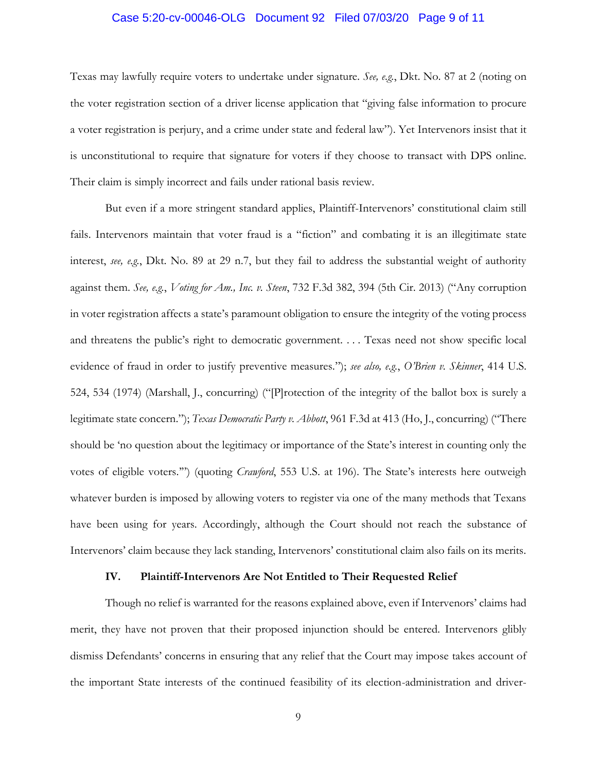# Case 5:20-cv-00046-OLG Document 92 Filed 07/03/20 Page 9 of 11

Texas may lawfully require voters to undertake under signature. *See, e.g.*, Dkt. No. 87 at 2 (noting on the voter registration section of a driver license application that "giving false information to procure a voter registration is perjury, and a crime under state and federal law"). Yet Intervenors insist that it is unconstitutional to require that signature for voters if they choose to transact with DPS online. Their claim is simply incorrect and fails under rational basis review.

But even if a more stringent standard applies, Plaintiff-Intervenors' constitutional claim still fails. Intervenors maintain that voter fraud is a "fiction" and combating it is an illegitimate state interest, *see, e.g.*, Dkt. No. 89 at 29 n.7, but they fail to address the substantial weight of authority against them. *See, e.g.*, *Voting for Am., Inc. v. Steen*, 732 F.3d 382, 394 (5th Cir. 2013) ("Any corruption in voter registration affects a state's paramount obligation to ensure the integrity of the voting process and threatens the public's right to democratic government. . . . Texas need not show specific local evidence of fraud in order to justify preventive measures."); *see also, e.g.*, *O'Brien v. Skinner*, 414 U.S. 524, 534 (1974) (Marshall, J., concurring) ("[P]rotection of the integrity of the ballot box is surely a legitimate state concern."); *Texas Democratic Party v. Abbott*, 961 F.3d at 413 (Ho, J., concurring) ("There should be 'no question about the legitimacy or importance of the State's interest in counting only the votes of eligible voters.'") (quoting *Crawford*, 553 U.S. at 196). The State's interests here outweigh whatever burden is imposed by allowing voters to register via one of the many methods that Texans have been using for years. Accordingly, although the Court should not reach the substance of Intervenors' claim because they lack standing, Intervenors' constitutional claim also fails on its merits.

#### **IV. Plaintiff-Intervenors Are Not Entitled to Their Requested Relief**

Though no relief is warranted for the reasons explained above, even if Intervenors' claims had merit, they have not proven that their proposed injunction should be entered. Intervenors glibly dismiss Defendants' concerns in ensuring that any relief that the Court may impose takes account of the important State interests of the continued feasibility of its election-administration and driver-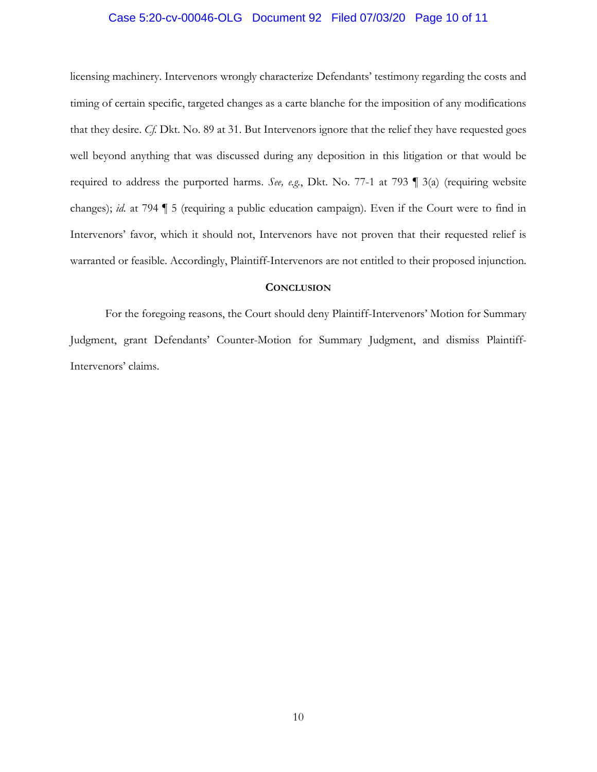### Case 5:20-cv-00046-OLG Document 92 Filed 07/03/20 Page 10 of 11

licensing machinery. Intervenors wrongly characterize Defendants' testimony regarding the costs and timing of certain specific, targeted changes as a carte blanche for the imposition of any modifications that they desire. *Cf.* Dkt. No. 89 at 31. But Intervenors ignore that the relief they have requested goes well beyond anything that was discussed during any deposition in this litigation or that would be required to address the purported harms. *See, e.g.*, Dkt. No. 77-1 at 793 ¶ 3(a) (requiring website changes); *id.* at 794 ¶ 5 (requiring a public education campaign). Even if the Court were to find in Intervenors' favor, which it should not, Intervenors have not proven that their requested relief is warranted or feasible. Accordingly, Plaintiff-Intervenors are not entitled to their proposed injunction.

### **CONCLUSION**

For the foregoing reasons, the Court should deny Plaintiff-Intervenors' Motion for Summary Judgment, grant Defendants' Counter-Motion for Summary Judgment, and dismiss Plaintiff-Intervenors' claims.